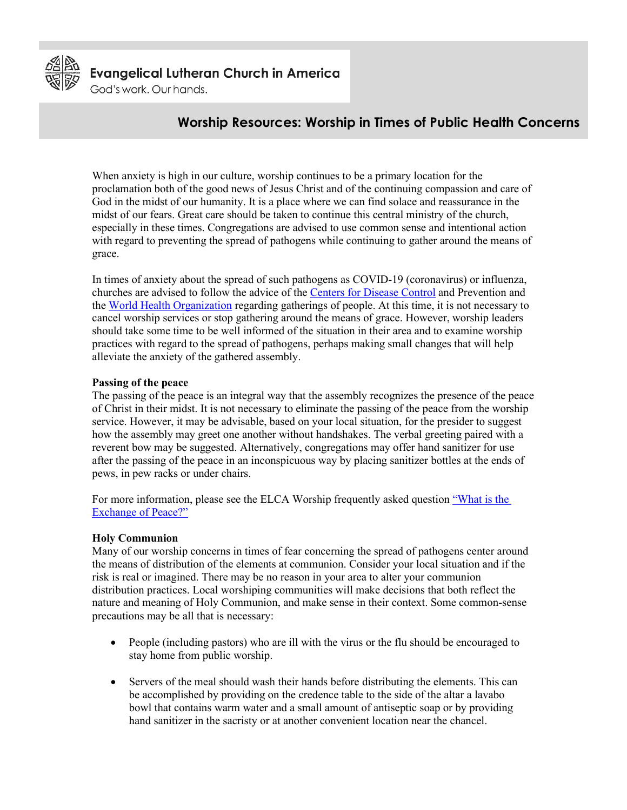

**Evangelical Lutheran Church in America** 

God's work. Our hands.

## **Worship Resources: Worship in Times of Public Health Concerns**

When anxiety is high in our culture, worship continues to be a primary location for the proclamation both of the good news of Jesus Christ and of the continuing compassion and care of God in the midst of our humanity. It is a place where we can find solace and reassurance in the midst of our fears. Great care should be taken to continue this central ministry of the church, especially in these times. Congregations are advised to use common sense and intentional action with regard to preventing the spread of pathogens while continuing to gather around the means of grace.

In times of anxiety about the spread of such pathogens as COVID-19 (coronavirus) or influenza, churches are advised to follow the advice of the [Centers for Disease Control](http://www.cdc.gov/) and Prevention and the [World Health Organization](https://www.who.int/) regarding gatherings of people. At this time, it is not necessary to cancel worship services or stop gathering around the means of grace. However, worship leaders should take some time to be well informed of the situation in their area and to examine worship practices with regard to the spread of pathogens, perhaps making small changes that will help alleviate the anxiety of the gathered assembly.

## **Passing of the peace**

The passing of the peace is an integral way that the assembly recognizes the presence of the peace of Christ in their midst. It is not necessary to eliminate the passing of the peace from the worship service. However, it may be advisable, based on your local situation, for the presider to suggest how the assembly may greet one another without handshakes. The verbal greeting paired with a reverent bow may be suggested. Alternatively, congregations may offer hand sanitizer for use after the passing of the peace in an inconspicuous way by placing sanitizer bottles at the ends of pews, in pew racks or under chairs.

For more information, please see the ELCA Worship frequently asked question "What is the [Exchange of Peace?"](http://download.elca.org/ELCA%20Resource%20Repository/What_is_the_Exchange_of_Peace.pdf)

## **Holy Communion**

Many of our worship concerns in times of fear concerning the spread of pathogens center around the means of distribution of the elements at communion. Consider your local situation and if the risk is real or imagined. There may be no reason in your area to alter your communion distribution practices. Local worshiping communities will make decisions that both reflect the nature and meaning of Holy Communion, and make sense in their context. Some common-sense precautions may be all that is necessary:

- People (including pastors) who are ill with the virus or the flu should be encouraged to stay home from public worship.
- Servers of the meal should wash their hands before distributing the elements. This can be accomplished by providing on the credence table to the side of the altar a lavabo bowl that contains warm water and a small amount of antiseptic soap or by providing hand sanitizer in the sacristy or at another convenient location near the chancel.